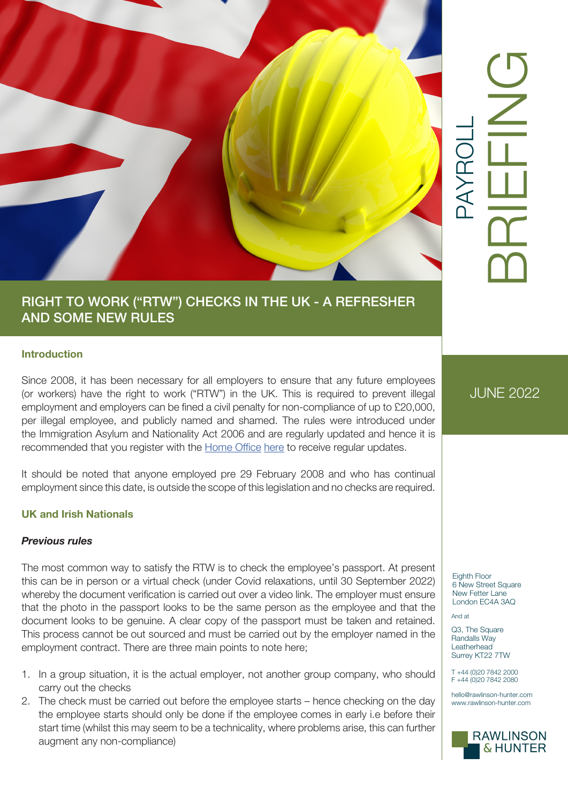

# PAYROLL BRIEFING

# RIGHT TO WORK ("RTW") CHECKS IN THE UK - A REFRESHER AND SOME NEW RULES

### **Introduction**

Since 2008, it has been necessary for all employers to ensure that any future employees (or workers) have the right to work ("RTW") in the UK. This is required to prevent illegal employment and employers can be fined a civil penalty for non-compliance of up to £20,000, per illegal employee, and publicly named and shamed. The rules were introduced under the Immigration Asylum and Nationality Act 2006 and are regularly updated and hence it is recommended that you register with the [Home Office](https://gov.smartwebportal.co.uk/homeoffice/public/webform.asp?id=256&id2=5C7A4A) [here](https://gov.smartwebportal.co.uk/homeoffice/public/webform.asp?id=256&id2=5C7A4A) to receive regular updates.

It should be noted that anyone employed pre 29 February 2008 and who has continual employment since this date, is outside the scope of this legislation and no checks are required.

# **UK and Irish Nationals**

#### *Previous rules*

The most common way to satisfy the RTW is to check the employee's passport. At present this can be in person or a virtual check (under Covid relaxations, until 30 September 2022) whereby the document verification is carried out over a video link. The employer must ensure that the photo in the passport looks to be the same person as the employee and that the document looks to be genuine. A clear copy of the passport must be taken and retained. This process cannot be out sourced and must be carried out by the employer named in the employment contract. There are three main points to note here;

- 1. In a group situation, it is the actual employer, not another group company, who should carry out the checks
- 2. The check must be carried out before the employee starts hence checking on the day the employee starts should only be done if the employee comes in early i.e before their start time (whilst this may seem to be a technicality, where problems arise, this can further augment any non-compliance)

JUNE 2022

Eighth Floor 6 New Street Square New Fetter Lane London EC4A 3AQ

And at

Q3, The Square Randalls Way Leatherhead Surrey KT22 7TW

T +44 (0)20 7842 2000 F +44 (0)20 7842 2080

hello@rawlinson-hunter.com www.rawlinson-hunter.com

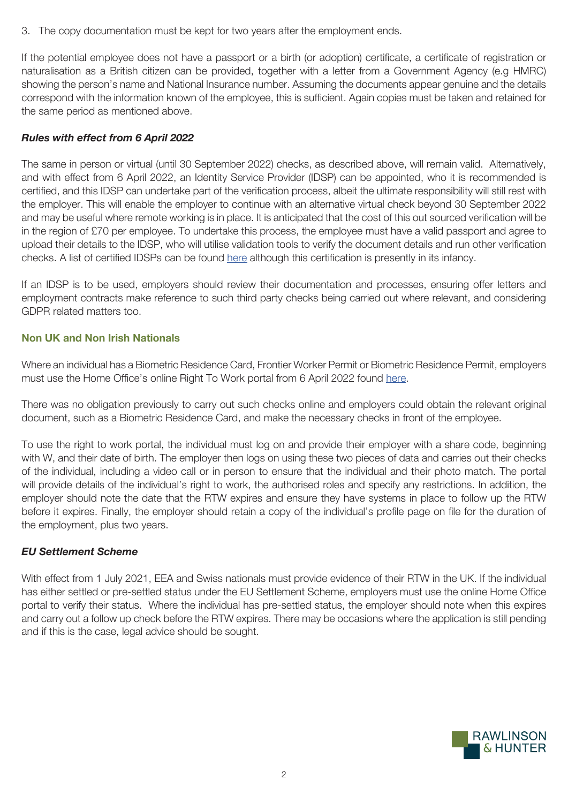3. The copy documentation must be kept for two years after the employment ends.

If the potential employee does not have a passport or a birth (or adoption) certificate, a certificate of registration or naturalisation as a British citizen can be provided, together with a letter from a Government Agency (e.g HMRC) showing the person's name and National Insurance number. Assuming the documents appear genuine and the details correspond with the information known of the employee, this is sufficient. Again copies must be taken and retained for the same period as mentioned above.

# *Rules with effect from 6 April 2022*

The same in person or virtual (until 30 September 2022) checks, as described above, will remain valid. Alternatively, and with effect from 6 April 2022, an Identity Service Provider (IDSP) can be appointed, who it is recommended is certified, and this IDSP can undertake part of the verification process, albeit the ultimate responsibility will still rest with the employer. This will enable the employer to continue with an alternative virtual check beyond 30 September 2022 and may be useful where remote working is in place. It is anticipated that the cost of this out sourced verification will be in the region of £70 per employee. To undertake this process, the employee must have a valid passport and agree to upload their details to the IDSP, who will utilise validation tools to verify the document details and run other verification checks. A list of certified IDSPs can be found [here](https://www.gov.uk/government/publications/digital-identity-certification-for-right-to-work-right-to-rent-and-criminal-record-checks/digital-identity-certification-for-right-to-work-right-to-rent-and-criminal-record-checks#list-of-certified-idsps) although this certification is presently in its infancy.

If an IDSP is to be used, employers should review their documentation and processes, ensuring offer letters and employment contracts make reference to such third party checks being carried out where relevant, and considering GDPR related matters too.

### **Non UK and Non Irish Nationals**

Where an individual has a Biometric Residence Card, Frontier Worker Permit or Biometric Residence Permit, employers must use the Home Office's online Right To Work portal from 6 April 2022 found [here.](https://www.gov.uk/view-right-to-work)

There was no obligation previously to carry out such checks online and employers could obtain the relevant original document, such as a Biometric Residence Card, and make the necessary checks in front of the employee.

To use the right to work portal, the individual must log on and provide their employer with a share code, beginning with W, and their date of birth. The employer then logs on using these two pieces of data and carries out their checks of the individual, including a video call or in person to ensure that the individual and their photo match. The portal will provide details of the individual's right to work, the authorised roles and specify any restrictions. In addition, the employer should note the date that the RTW expires and ensure they have systems in place to follow up the RTW before it expires. Finally, the employer should retain a copy of the individual's profile page on file for the duration of the employment, plus two years.

#### *EU Settlement Scheme*

With effect from 1 July 2021, EEA and Swiss nationals must provide evidence of their RTW in the UK. If the individual has either settled or pre-settled status under the EU Settlement Scheme, employers must use the online Home Office portal to verify their status. Where the individual has pre-settled status, the employer should note when this expires and carry out a follow up check before the RTW expires. There may be occasions where the application is still pending and if this is the case, legal advice should be sought.